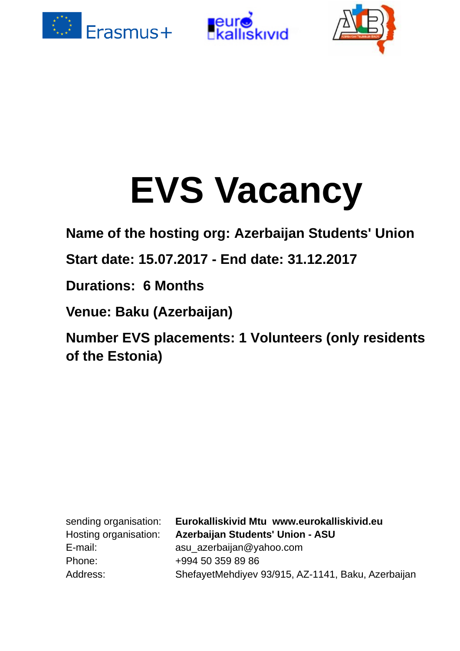





# **EVS Vacancy**

**Name of the hosting org: Azerbaijan Students' Union**

**Start date: 15.07.2017 - End date: 31.12.2017**

**Durations: 6 Months**

**Venue: Baku (Azerbaijan)** 

**Number EVS placements: 1 Volunteers (only residents of the Estonia)**

Hosting organisation: **Azerbaijan Students' Union - ASU** E-mail: asu azerbaijan@yahoo.com Phone: +994 50 359 89 86 Address: ShefayetMehdiyev 93/915, AZ-1141, Baku, Azerbaijan sending organisation: **Eurokalliskivid Mtu www.eurokalliskivid.eu**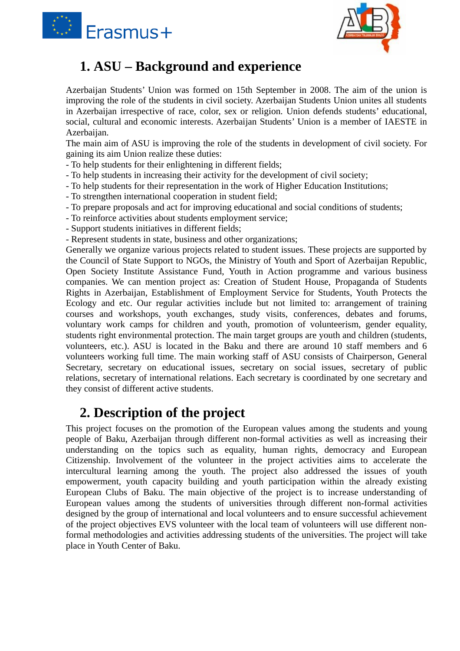



### **1. ASU – Background and experience**

Azerbaijan Students' Union was formed on 15th September in 2008. The aim of the union is improving the role of the students in civil society. Azerbaijan Students Union unites all students in Azerbaijan irrespective of race, color, sex or religion. Union defends students' educational, social, cultural and economic interests. Azerbaijan Students' Union is a member of IAESTE in Azerbaijan.

The main aim of ASU is improving the role of the students in development of civil society. For gaining its aim Union realize these duties:

- To help students for their enlightening in different fields;
- To help students in increasing their activity for the development of civil society;
- To help students for their representation in the work of Higher Education Institutions;
- To strengthen international cooperation in student field;
- To prepare proposals and act for improving educational and social conditions of students;
- To reinforce activities about students employment service;
- Support students initiatives in different fields;
- Represent students in state, business and other organizations;

Generally we organize various projects related to student issues. These projects are supported by the Council of State Support to NGOs, the Ministry of Youth and Sport of Azerbaijan Republic, Open Society Institute Assistance Fund, Youth in Action programme and various business companies. We can mention project as: Creation of Student House, Propaganda of Students Rights in Azerbaijan, Establishment of Employment Service for Students, Youth Protects the Ecology and etc. Our regular activities include but not limited to: arrangement of training courses and workshops, youth exchanges, study visits, conferences, debates and forums, voluntary work camps for children and youth, promotion of volunteerism, gender equality, students right environmental protection. The main target groups are youth and children (students, volunteers, etc.). ASU is located in the Baku and there are around 10 staff members and 6 volunteers working full time. The main working staff of ASU consists of Chairperson, General Secretary, secretary on educational issues, secretary on social issues, secretary of public relations, secretary of international relations. Each secretary is coordinated by one secretary and they consist of different active students.

#### **2. Description of the project**

This project focuses on the promotion of the European values among the students and young people of Baku, Azerbaijan through different non-formal activities as well as increasing their understanding on the topics such as equality, human rights, democracy and European Citizenship. Involvement of the volunteer in the project activities aims to accelerate the intercultural learning among the youth. The project also addressed the issues of youth empowerment, youth capacity building and youth participation within the already existing European Clubs of Baku. The main objective of the project is to increase understanding of European values among the students of universities through different non-formal activities designed by the group of international and local volunteers and to ensure successful achievement of the project objectives EVS volunteer with the local team of volunteers will use different nonformal methodologies and activities addressing students of the universities. The project will take place in Youth Center of Baku.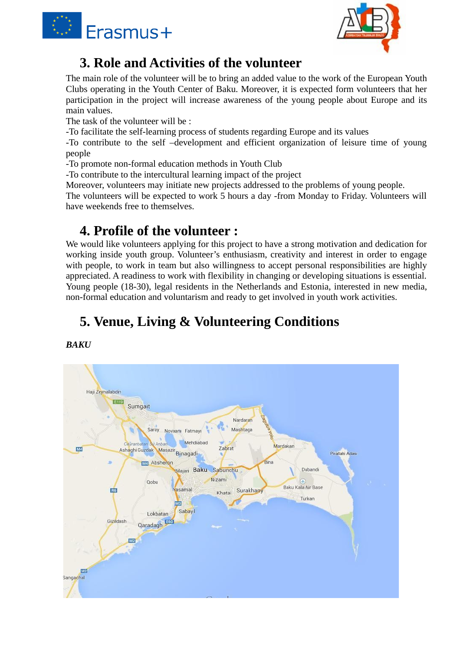



#### **3. Role and Activities of the volunteer**

The main role of the volunteer will be to bring an added value to the work of the European Youth Clubs operating in the Youth Center of Baku. Moreover, it is expected form volunteers that her participation in the project will increase awareness of the young people about Europe and its main values.

The task of the volunteer will be :

-To facilitate the self-learning process of students regarding Europe and its values

-To contribute to the self –development and efficient organization of leisure time of young people

-To promote non-formal education methods in Youth Club

-To contribute to the intercultural learning impact of the project

Moreover, volunteers may initiate new projects addressed to the problems of young people.

The volunteers will be expected to work 5 hours a day -from Monday to Friday. Volunteers will have weekends free to themselves.

#### **4. Profile of the volunteer :**

We would like volunteers applying for this project to have a strong motivation and dedication for working inside youth group. Volunteer's enthusiasm, creativity and interest in order to engage with people, to work in team but also willingness to accept personal responsibilities are highly appreciated. A readiness to work with flexibility in changing or developing situations is essential. Young people (18-30), legal residents in the Netherlands and Estonia, interested in new media, non-formal education and voluntarism and ready to get involved in youth work activities.

## **5. Venue, Living & Volunteering Conditions**

*BAKU*

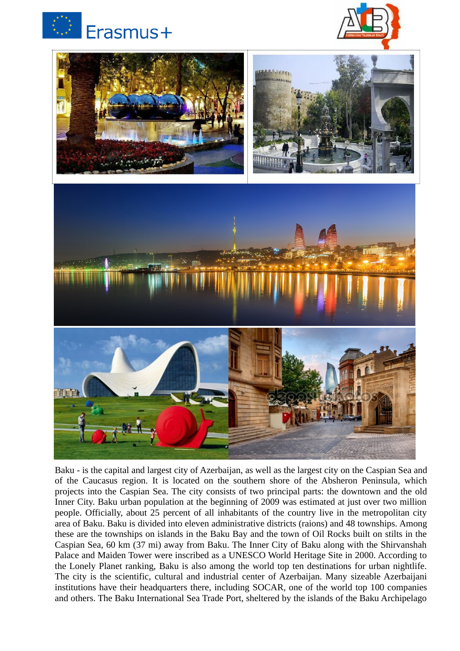





Baku - is the capital and largest city of Azerbaijan, as well as the largest city on the Caspian Sea and of the Caucasus region. It is located on the southern shore of the Absheron Peninsula, which projects into the Caspian Sea. The city consists of two principal parts: the downtown and the old Inner City. Baku urban population at the beginning of 2009 was estimated at just over two million people. Officially, about 25 percent of all inhabitants of the country live in the metropolitan city area of Baku. Baku is divided into eleven administrative districts (raions) and 48 townships. Among these are the townships on islands in the Baku Bay and the town of Oil Rocks built on stilts in the Caspian Sea, 60 km (37 mi) away from Baku. The Inner City of Baku along with the Shirvanshah Palace and Maiden Tower were inscribed as a UNESCO World Heritage Site in 2000. According to the Lonely Planet ranking, Baku is also among the world top ten destinations for urban nightlife. The city is the scientific, cultural and industrial center of Azerbaijan. Many sizeable Azerbaijani institutions have their headquarters there, including SOCAR, one of the world top 100 companies and others. The Baku International Sea Trade Port, sheltered by the islands of the Baku Archipelago